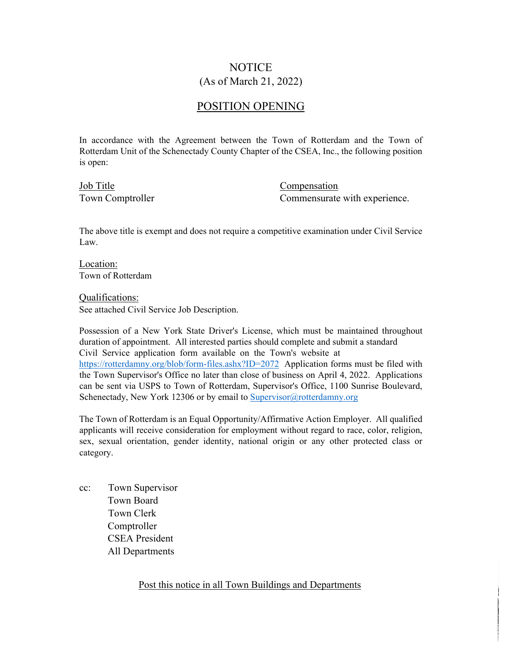## NOTICE (As of March 21, 2022)

### POSITION OPENING

In accordance with the Agreement between the Town of Rotterdam and the Town of Rotterdam Unit of the Schenectady County Chapter of the CSEA, Inc., the following position is open:

Job Title Compensation

Town Comptroller Commensurate with experience.

The above title is exempt and does not require a competitive examination under Civil Service Law.

Location: Town of Rotterdam

Qualifications:

See attached Civil Service Job Description.

Possession of a New York State Driver's License, which must be maintained throughout duration of appointment. All interested parties should complete and submit a standard Civil Service application form available on the Town's website at https://rotterdamny.org/blob/form-files.ashx?ID=2072 Application forms must be filed with the Town Supervisor's Office no later than close of business on April 4, 2022. Applications can be sent via USPS to Town of Rotterdam, Supervisor's Office, 1100 Sunrise Boulevard, Schenectady, New York 12306 or by email to Supervisor@rotterdamny.org

The Town of Rotterdam is an Equal Opportunity/Affirmative Action Employer. All qualified applicants will receive consideration for employment without regard to race, color, religion, sex, sexual orientation, gender identity, national origin or any other protected class or category.

cc: Town Supervisor Town Board Town Clerk Comptroller CSEA President All Departments

Post this notice in all Town Buildings and Departments